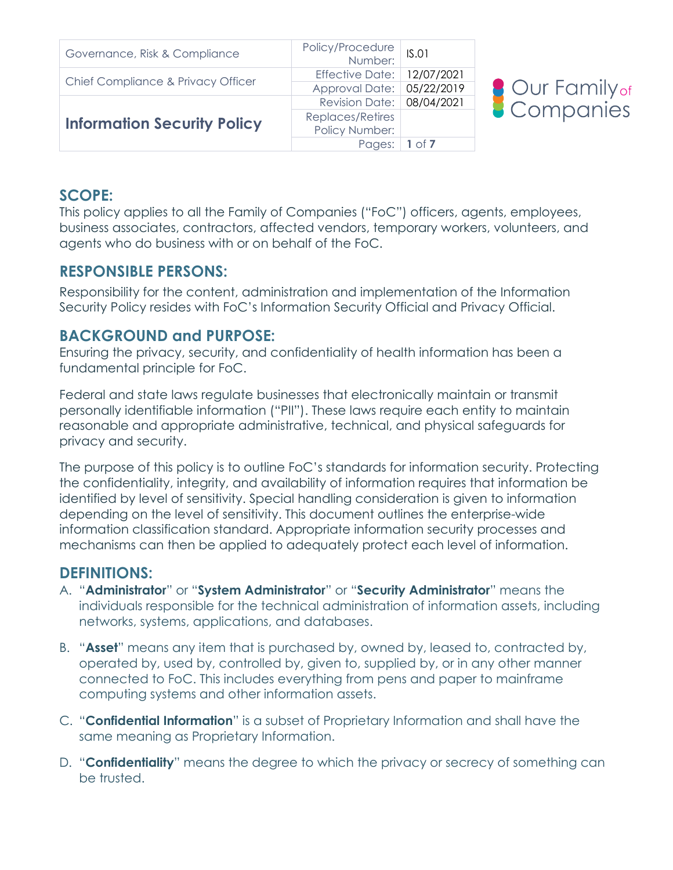| Governance, Risk & Compliance      | Policy/Procedure<br>:Number  | IS.01    |
|------------------------------------|------------------------------|----------|
| Chief Compliance & Privacy Officer | Effective Date:   12/07/2021 |          |
|                                    | Approval Date: 05/22/2019    |          |
|                                    | Revision Date: 08/04/2021    |          |
| <b>Information Security Policy</b> | Replaces/Retires             |          |
|                                    | Policy Number:               |          |
|                                    | Pages:                       | 1 of $7$ |



#### **SCOPE:**

This policy applies to all the Family of Companies ("FoC") officers, agents, employees, business associates, contractors, affected vendors, temporary workers, volunteers, and agents who do business with or on behalf of the FoC.

### **RESPONSIBLE PERSONS:**

Responsibility for the content, administration and implementation of the Information Security Policy resides with FoC's Information Security Official and Privacy Official.

## **BACKGROUND and PURPOSE:**

Ensuring the privacy, security, and confidentiality of health information has been a fundamental principle for FoC.

Federal and state laws regulate businesses that electronically maintain or transmit personally identifiable information ("PII"). These laws require each entity to maintain reasonable and appropriate administrative, technical, and physical safeguards for privacy and security.

The purpose of this policy is to outline FoC's standards for information security. Protecting the confidentiality, integrity, and availability of information requires that information be identified by level of sensitivity. Special handling consideration is given to information depending on the level of sensitivity. This document outlines the enterprise-wide information classification standard. Appropriate information security processes and mechanisms can then be applied to adequately protect each level of information.

## **DEFINITIONS:**

- A. "**Administrator**" or "**System Administrator**" or "**Security Administrator**" means the individuals responsible for the technical administration of information assets, including networks, systems, applications, and databases.
- B. "**Asset**" means any item that is purchased by, owned by, leased to, contracted by, operated by, used by, controlled by, given to, supplied by, or in any other manner connected to FoC. This includes everything from pens and paper to mainframe computing systems and other information assets.
- C. "**Confidential Information**" is a subset of Proprietary Information and shall have the same meaning as Proprietary Information.
- D. "**Confidentiality**" means the degree to which the privacy or secrecy of something can be trusted.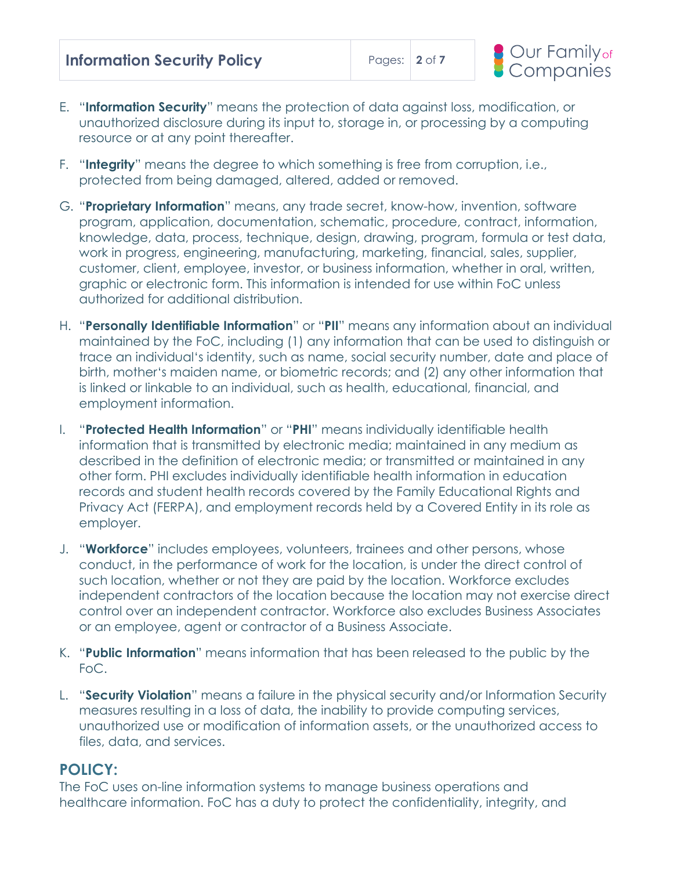| <b>Information Security Policy</b> | Pages: $2$ of 7 |  |
|------------------------------------|-----------------|--|
|------------------------------------|-----------------|--|



- E. "**Information Security**" means the protection of data against loss, modification, or unauthorized disclosure during its input to, storage in, or processing by a computing resource or at any point thereafter.
- F. "**Integrity**" means the degree to which something is free from corruption, i.e., protected from being damaged, altered, added or removed.
- G. "**Proprietary Information**" means, any trade secret, know-how, invention, software program, application, documentation, schematic, procedure, contract, information, knowledge, data, process, technique, design, drawing, program, formula or test data, work in progress, engineering, manufacturing, marketing, financial, sales, supplier, customer, client, employee, investor, or business information, whether in oral, written, graphic or electronic form. This information is intended for use within FoC unless authorized for additional distribution.
- H. "**Personally Identifiable Information**" or "**PII**" means any information about an individual maintained by the FoC, including (1) any information that can be used to distinguish or trace an individual's identity, such as name, social security number, date and place of birth, mother's maiden name, or biometric records; and (2) any other information that is linked or linkable to an individual, such as health, educational, financial, and employment information.
- I. "**Protected Health Information**" or "**PHI**" means individually identifiable health information that is transmitted by electronic media; maintained in any medium as described in the definition of electronic media; or transmitted or maintained in any other form. PHI excludes individually identifiable health information in education records and student health records covered by the Family Educational Rights and Privacy Act (FERPA), and employment records held by a Covered Entity in its role as employer.
- J. "**Workforce**" includes employees, volunteers, trainees and other persons, whose conduct, in the performance of work for the location, is under the direct control of such location, whether or not they are paid by the location. Workforce excludes independent contractors of the location because the location may not exercise direct control over an independent contractor. Workforce also excludes Business Associates or an employee, agent or contractor of a Business Associate.
- K. "**Public Information**" means information that has been released to the public by the FoC.
- L. "**Security Violation**" means a failure in the physical security and/or Information Security measures resulting in a loss of data, the inability to provide computing services, unauthorized use or modification of information assets, or the unauthorized access to files, data, and services.

### **POLICY:**

The FoC uses on-line information systems to manage business operations and healthcare information. FoC has a duty to protect the confidentiality, integrity, and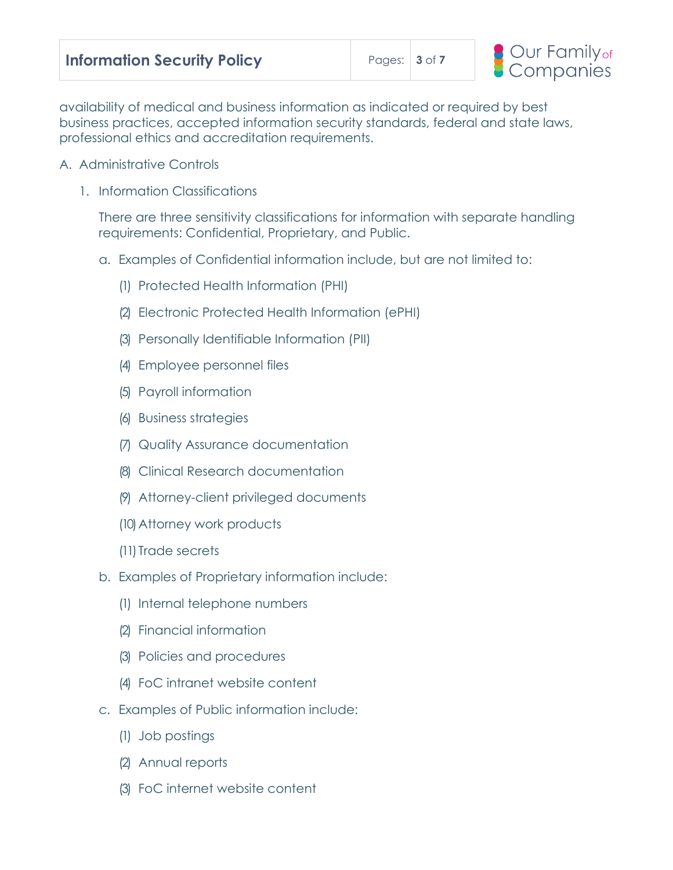

availability of medical and business information as indicated or required by best business practices, accepted information security standards, federal and state laws, professional ethics and accreditation requirements.

- A. Administrative Controls
	- 1. Information Classifications

There are three sensitivity classifications for information with separate handling requirements: Confidential, Proprietary, and Public.

- a. Examples of Confidential information include, but are not limited to:
	- (1) Protected Health Information (PHI)
	- (2) Electronic Protected Health Information (ePHI)
	- (3) Personally Identifiable Information (PII)
	- (4) Employee personnel files
	- (5) Payroll information
	- (6) Business strategies
	- (7) Quality Assurance documentation
	- (8) Clinical Research documentation
	- (9) Attorney-client privileged documents
	- (10)Attorney work products
	- (11) Trade secrets
- b. Examples of Proprietary information include:
	- (1) Internal telephone numbers
	- (2) Financial information
	- (3) Policies and procedures
	- (4) FoC intranet website content
- c. Examples of Public information include:
	- (1) Job postings
	- (2) Annual reports
	- (3) FoC internet website content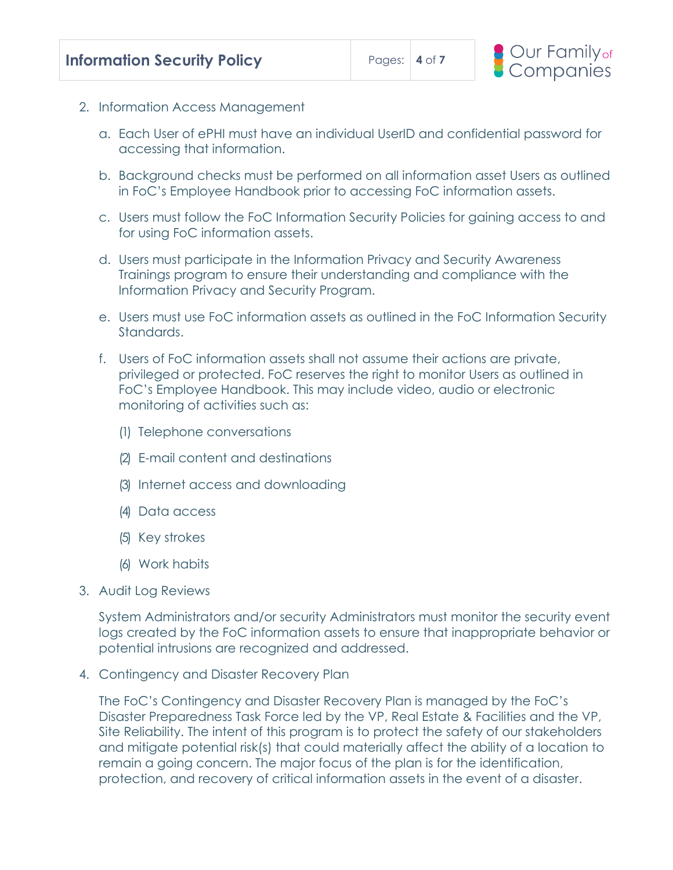- 2. Information Access Management
	- a. Each User of ePHI must have an individual UserID and confidential password for accessing that information.
	- b. Background checks must be performed on all information asset Users as outlined in FoC's Employee Handbook prior to accessing FoC information assets.
	- c. Users must follow the FoC Information Security Policies for gaining access to and for using FoC information assets.
	- d. Users must participate in the Information Privacy and Security Awareness Trainings program to ensure their understanding and compliance with the Information Privacy and Security Program.
	- e. Users must use FoC information assets as outlined in the FoC Information Security Standards.
	- f. Users of FoC information assets shall not assume their actions are private, privileged or protected. FoC reserves the right to monitor Users as outlined in FoC's Employee Handbook. This may include video, audio or electronic monitoring of activities such as:
		- (1) Telephone conversations
		- (2) E-mail content and destinations
		- (3) Internet access and downloading
		- (4) Data access
		- (5) Key strokes
		- (6) Work habits
- 3. Audit Log Reviews

System Administrators and/or security Administrators must monitor the security event logs created by the FoC information assets to ensure that inappropriate behavior or potential intrusions are recognized and addressed.

4. Contingency and Disaster Recovery Plan

The FoC's Contingency and Disaster Recovery Plan is managed by the FoC's Disaster Preparedness Task Force led by the VP, Real Estate & Facilities and the VP, Site Reliability. The intent of this program is to protect the safety of our stakeholders and mitigate potential risk(s) that could materially affect the ability of a location to remain a going concern. The major focus of the plan is for the identification, protection, and recovery of critical information assets in the event of a disaster.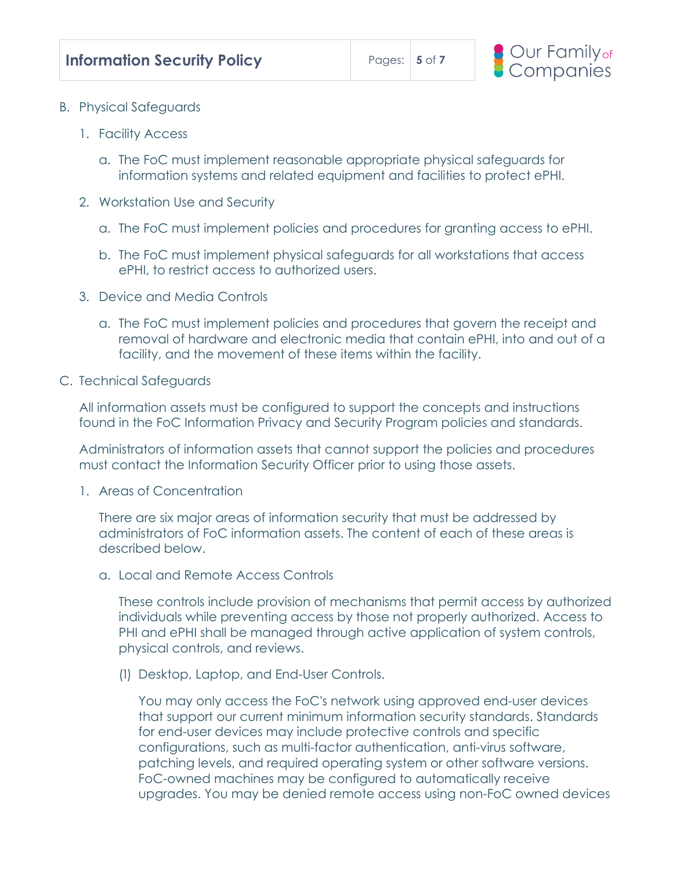- B. Physical Safeguards
	- 1. Facility Access
		- a. The FoC must implement reasonable appropriate physical safeguards for information systems and related equipment and facilities to protect ePHI.
	- 2. Workstation Use and Security
		- a. The FoC must implement policies and procedures for granting access to ePHI.
		- b. The FoC must implement physical safeguards for all workstations that access ePHI, to restrict access to authorized users.
	- 3. Device and Media Controls
		- a. The FoC must implement policies and procedures that govern the receipt and removal of hardware and electronic media that contain ePHI, into and out of a facility, and the movement of these items within the facility.
- C. Technical Safeguards

All information assets must be configured to support the concepts and instructions found in the FoC Information Privacy and Security Program policies and standards.

Administrators of information assets that cannot support the policies and procedures must contact the Information Security Officer prior to using those assets.

1. Areas of Concentration

There are six major areas of information security that must be addressed by administrators of FoC information assets. The content of each of these areas is described below.

a. Local and Remote Access Controls

These controls include provision of mechanisms that permit access by authorized individuals while preventing access by those not properly authorized. Access to PHI and ePHI shall be managed through active application of system controls, physical controls, and reviews.

(1) Desktop, Laptop, and End-User Controls.

You may only access the FoC's network using approved end-user devices that support our current minimum information security standards. Standards for end-user devices may include protective controls and specific configurations, such as multi-factor authentication, anti-virus software, patching levels, and required operating system or other software versions. FoC-owned machines may be configured to automatically receive upgrades. You may be denied remote access using non-FoC owned devices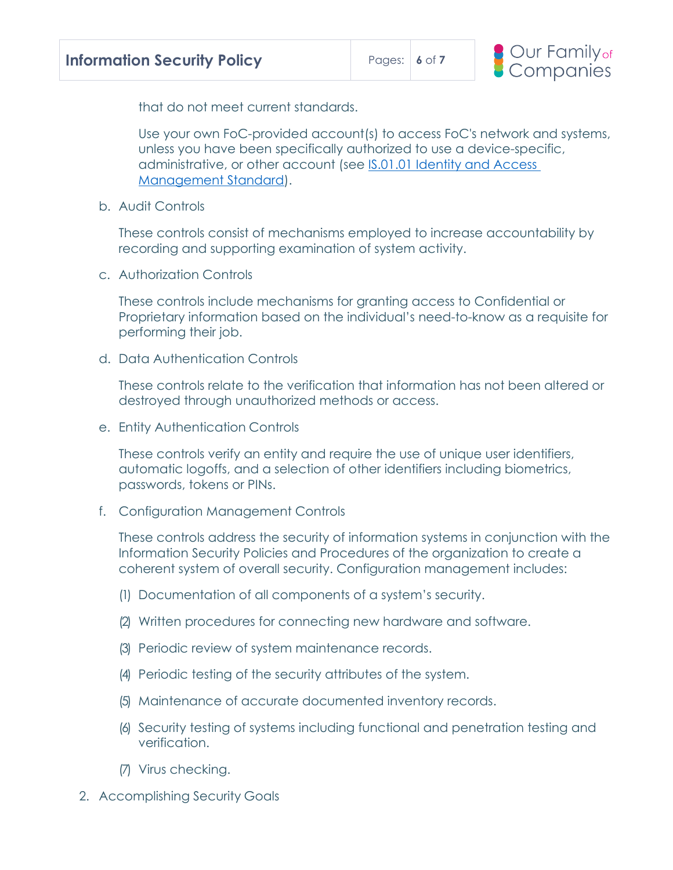

that do not meet current standards.

Use your own FoC-provided account(s) to access FoC's network and systems, unless you have been specifically authorized to use a device-specific, administrative, or other account (see [IS.01.01 Identity and Access](https://confluence.esba.org/display/News/Identity+and+Access+Management+Standard)  [Management Standard\)](https://confluence.esba.org/display/News/Identity+and+Access+Management+Standard).

b. Audit Controls

These controls consist of mechanisms employed to increase accountability by recording and supporting examination of system activity.

c. Authorization Controls

These controls include mechanisms for granting access to Confidential or Proprietary information based on the individual's need-to-know as a requisite for performing their job.

d. Data Authentication Controls

These controls relate to the verification that information has not been altered or destroyed through unauthorized methods or access.

e. Entity Authentication Controls

These controls verify an entity and require the use of unique user identifiers, automatic logoffs, and a selection of other identifiers including biometrics, passwords, tokens or PINs.

f. Configuration Management Controls

These controls address the security of information systems in conjunction with the Information Security Policies and Procedures of the organization to create a coherent system of overall security. Configuration management includes:

- (1) Documentation of all components of a system's security.
- (2) Written procedures for connecting new hardware and software.
- (3) Periodic review of system maintenance records.
- (4) Periodic testing of the security attributes of the system.
- (5) Maintenance of accurate documented inventory records.
- (6) Security testing of systems including functional and penetration testing and verification.
- (7) Virus checking.
- 2. Accomplishing Security Goals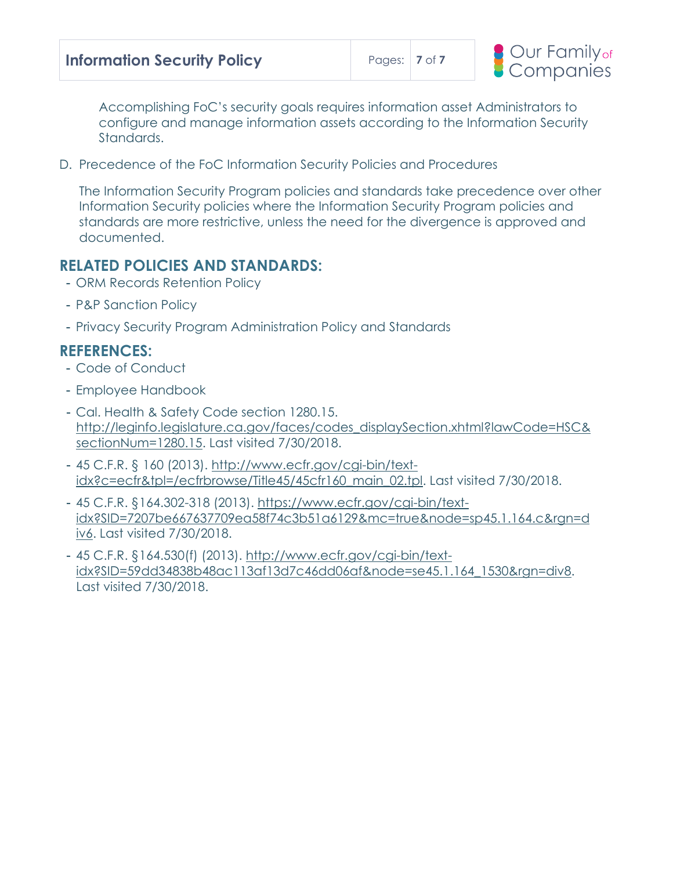| <b>Information Security Policy</b> | Pages: $\vert$ 7 of 7 |  |
|------------------------------------|-----------------------|--|
|------------------------------------|-----------------------|--|



Accomplishing FoC's security goals requires information asset Administrators to configure and manage information assets according to the Information Security Standards.

D. Precedence of the FoC Information Security Policies and Procedures

The Information Security Program policies and standards take precedence over other Information Security policies where the Information Security Program policies and standards are more restrictive, unless the need for the divergence is approved and documented.

## **RELATED POLICIES AND STANDARDS:**

- ORM Records Retention Policy
- P&P Sanction Policy
- Privacy Security Program Administration Policy and Standards

### **REFERENCES:**

- Code of Conduct
- Employee Handbook
- Cal. Health & Safety Code section 1280.15. [http://leginfo.legislature.ca.gov/faces/codes\\_displaySection.xhtml?lawCode=HSC&](http://leginfo.legislature.ca.gov/faces/codes_displaySection.xhtml?lawCode=HSC§ionNum=1280.15) [sectionNum=1280.15.](http://leginfo.legislature.ca.gov/faces/codes_displaySection.xhtml?lawCode=HSC§ionNum=1280.15) Last visited 7/30/2018.
- 45 C.F.R. § 160 (2013). [http://www.ecfr.gov/cgi-bin/text](http://www.ecfr.gov/cgi-bin/text-idx?c=ecfr&tpl=/ecfrbrowse/Title45/45cfr160_main_02.tpl)[idx?c=ecfr&tpl=/ecfrbrowse/Title45/45cfr160\\_main\\_02.tpl.](http://www.ecfr.gov/cgi-bin/text-idx?c=ecfr&tpl=/ecfrbrowse/Title45/45cfr160_main_02.tpl) Last visited 7/30/2018.
- 45 C.F.R. §164.302-318 (2013). [https://www.ecfr.gov/cgi-bin/text](https://www.ecfr.gov/cgi-bin/text-idx?SID=7207be667637709ea58f74c3b51a6129&mc=true&node=sp45.1.164.c&rgn=div6)[idx?SID=7207be667637709ea58f74c3b51a6129&mc=true&node=sp45.1.164.c&rgn=d](https://www.ecfr.gov/cgi-bin/text-idx?SID=7207be667637709ea58f74c3b51a6129&mc=true&node=sp45.1.164.c&rgn=div6) [iv6.](https://www.ecfr.gov/cgi-bin/text-idx?SID=7207be667637709ea58f74c3b51a6129&mc=true&node=sp45.1.164.c&rgn=div6) Last visited 7/30/2018.
- 45 C.F.R. §164.530(f) (2013). [http://www.ecfr.gov/cgi-bin/text](http://www.ecfr.gov/cgi-bin/text-idx?SID=59dd34838b48ac113af13d7c46dd06af&node=se45.1.164_1530&rgn=div8)[idx?SID=59dd34838b48ac113af13d7c46dd06af&node=se45.1.164\\_1530&rgn=div8.](http://www.ecfr.gov/cgi-bin/text-idx?SID=59dd34838b48ac113af13d7c46dd06af&node=se45.1.164_1530&rgn=div8) Last visited 7/30/2018.